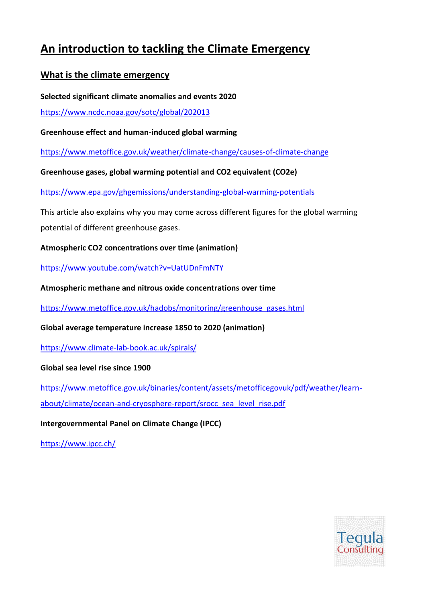# **An introduction to tackling the Climate Emergency**

# **What is the climate emergency**

**Selected significant climate anomalies and events 2020**

<https://www.ncdc.noaa.gov/sotc/global/202013>

**Greenhouse effect and human-induced global warming**

<https://www.metoffice.gov.uk/weather/climate-change/causes-of-climate-change>

**Greenhouse gases, global warming potential and CO2 equivalent (CO2e)**

<https://www.epa.gov/ghgemissions/understanding-global-warming-potentials>

This article also explains why you may come across different figures for the global warming potential of different greenhouse gases.

**Atmospheric CO2 concentrations over time (animation)**

<https://www.youtube.com/watch?v=UatUDnFmNTY>

**Atmospheric methane and nitrous oxide concentrations over time**

[https://www.metoffice.gov.uk/hadobs/monitoring/greenhouse\\_gases.html](https://www.metoffice.gov.uk/hadobs/monitoring/greenhouse_gases.html)

**Global average temperature increase 1850 to 2020 (animation)**

<https://www.climate-lab-book.ac.uk/spirals/>

**Global sea level rise since 1900**

[https://www.metoffice.gov.uk/binaries/content/assets/metofficegovuk/pdf/weather/learn](https://www.metoffice.gov.uk/binaries/content/assets/metofficegovuk/pdf/weather/learn-about/climate/ocean-and-cryosphere-report/srocc_sea_level_rise.pdf)[about/climate/ocean-and-cryosphere-report/srocc\\_sea\\_level\\_rise.pdf](https://www.metoffice.gov.uk/binaries/content/assets/metofficegovuk/pdf/weather/learn-about/climate/ocean-and-cryosphere-report/srocc_sea_level_rise.pdf)

**Intergovernmental Panel on Climate Change (IPCC)**

<https://www.ipcc.ch/>

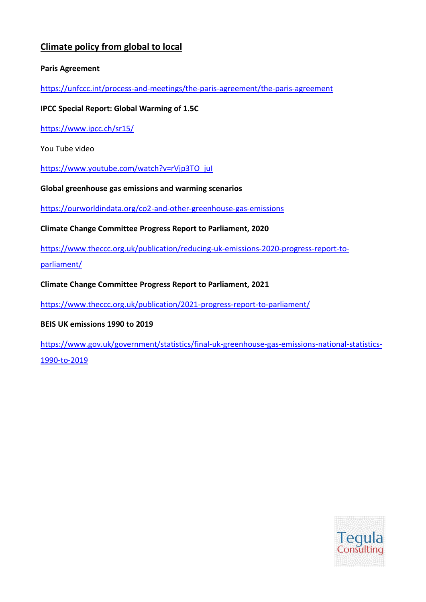# **Climate policy from global to local**

## **Paris Agreement**

<https://unfccc.int/process-and-meetings/the-paris-agreement/the-paris-agreement>

## **IPCC Special Report: Global Warming of 1.5C**

<https://www.ipcc.ch/sr15/>

You Tube video

[https://www.youtube.com/watch?v=rVjp3TO\\_juI](https://www.youtube.com/watch?v=rVjp3TO_juI)

**Global greenhouse gas emissions and warming scenarios**

<https://ourworldindata.org/co2-and-other-greenhouse-gas-emissions>

**Climate Change Committee Progress Report to Parliament, 2020**

[https://www.theccc.org.uk/publication/reducing-uk-emissions-2020-progress-report-to-](https://www.theccc.org.uk/publication/reducing-uk-emissions-2020-progress-report-to-parliament/)

[parliament/](https://www.theccc.org.uk/publication/reducing-uk-emissions-2020-progress-report-to-parliament/)

**Climate Change Committee Progress Report to Parliament, 2021**

<https://www.theccc.org.uk/publication/2021-progress-report-to-parliament/>

**BEIS UK emissions 1990 to 2019**

[https://www.gov.uk/government/statistics/final-uk-greenhouse-gas-emissions-national-statistics-](https://www.gov.uk/government/statistics/final-uk-greenhouse-gas-emissions-national-statistics-1990-to-2019)[1990-to-2019](https://www.gov.uk/government/statistics/final-uk-greenhouse-gas-emissions-national-statistics-1990-to-2019)

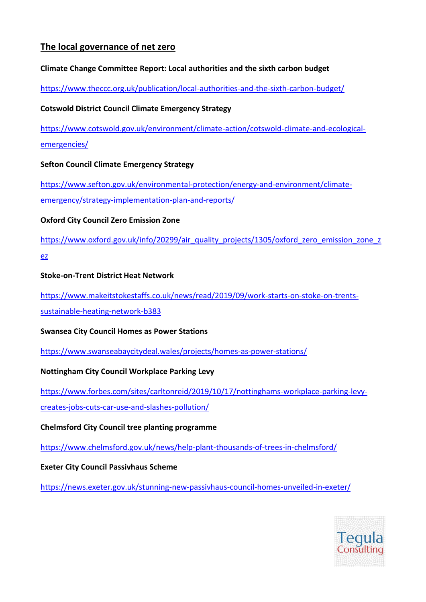# **The local governance of net zero**

## **Climate Change Committee Report: Local authorities and the sixth carbon budget**

<https://www.theccc.org.uk/publication/local-authorities-and-the-sixth-carbon-budget/>

## **Cotswold District Council Climate Emergency Strategy**

[https://www.cotswold.gov.uk/environment/climate-action/cotswold-climate-and-ecological](https://www.cotswold.gov.uk/environment/climate-action/cotswold-climate-and-ecological-emergencies/)[emergencies/](https://www.cotswold.gov.uk/environment/climate-action/cotswold-climate-and-ecological-emergencies/)

## **Sefton Council Climate Emergency Strategy**

[https://www.sefton.gov.uk/environmental-protection/energy-and-environment/climate](https://www.sefton.gov.uk/environmental-protection/energy-and-environment/climate-emergency/strategy-implementation-plan-and-reports/)[emergency/strategy-implementation-plan-and-reports/](https://www.sefton.gov.uk/environmental-protection/energy-and-environment/climate-emergency/strategy-implementation-plan-and-reports/)

## **Oxford City Council Zero Emission Zone**

[https://www.oxford.gov.uk/info/20299/air\\_quality\\_projects/1305/oxford\\_zero\\_emission\\_zone\\_z](https://www.oxford.gov.uk/info/20299/air_quality_projects/1305/oxford_zero_emission_zone_zez)

[ez](https://www.oxford.gov.uk/info/20299/air_quality_projects/1305/oxford_zero_emission_zone_zez)

## **Stoke-on-Trent District Heat Network**

[https://www.makeitstokestaffs.co.uk/news/read/2019/09/work-starts-on-stoke-on-trents](https://www.makeitstokestaffs.co.uk/news/read/2019/09/work-starts-on-stoke-on-trents-sustainable-heating-network-b383)[sustainable-heating-network-b383](https://www.makeitstokestaffs.co.uk/news/read/2019/09/work-starts-on-stoke-on-trents-sustainable-heating-network-b383)

**Swansea City Council Homes as Power Stations**

<https://www.swanseabaycitydeal.wales/projects/homes-as-power-stations/>

# **Nottingham City Council Workplace Parking Levy**

[https://www.forbes.com/sites/carltonreid/2019/10/17/nottinghams-workplace-parking-levy](https://www.forbes.com/sites/carltonreid/2019/10/17/nottinghams-workplace-parking-levy-creates-jobs-cuts-car-use-and-slashes-pollution/)[creates-jobs-cuts-car-use-and-slashes-pollution/](https://www.forbes.com/sites/carltonreid/2019/10/17/nottinghams-workplace-parking-levy-creates-jobs-cuts-car-use-and-slashes-pollution/)

# **Chelmsford City Council tree planting programme**

<https://www.chelmsford.gov.uk/news/help-plant-thousands-of-trees-in-chelmsford/>

#### **Exeter City Council Passivhaus Scheme**

<https://news.exeter.gov.uk/stunning-new-passivhaus-council-homes-unveiled-in-exeter/>

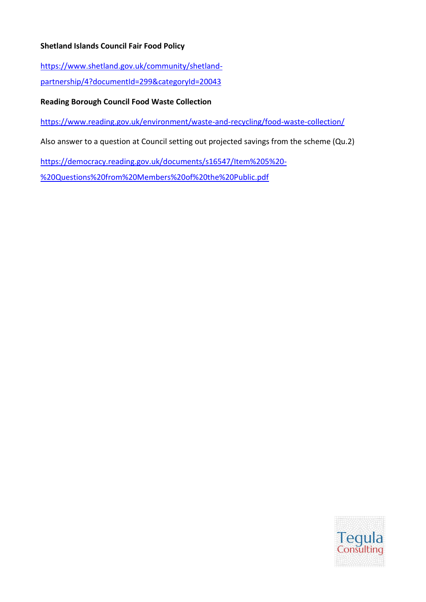## **Shetland Islands Council Fair Food Policy**

[https://www.shetland.gov.uk/community/shetland-](https://www.shetland.gov.uk/community/shetland-partnership/4?documentId=299&categoryId=20043)

[partnership/4?documentId=299&categoryId=20043](https://www.shetland.gov.uk/community/shetland-partnership/4?documentId=299&categoryId=20043)

#### **Reading Borough Council Food Waste Collection**

<https://www.reading.gov.uk/environment/waste-and-recycling/food-waste-collection/>

Also answer to a question at Council setting out projected savings from the scheme (Qu.2)

[https://democracy.reading.gov.uk/documents/s16547/Item%205%20-](https://democracy.reading.gov.uk/documents/s16547/Item%205%20-%20Questions%20from%20Members%20of%20the%20Public.pdf)

[%20Questions%20from%20Members%20of%20the%20Public.pdf](https://democracy.reading.gov.uk/documents/s16547/Item%205%20-%20Questions%20from%20Members%20of%20the%20Public.pdf)